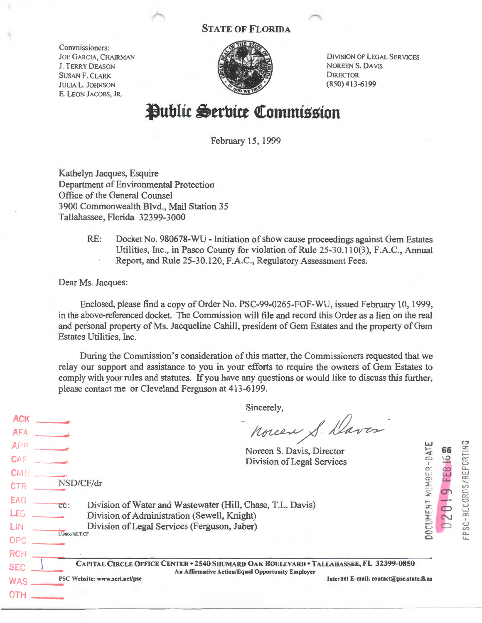## STATE OF FLORIDA

Commissioners: JOE GARCIA, CHAIRMAN J. TERRY DEASON SUSAN F. CLARK JULIA L. JOHNSON E. LEON JACOBS, JR.



DIVISION OF LEGAL SERVlCES NOREEN S. DAYlS **DIRECTOR** (850) 413-6199

# **Public Serbice Commission**

February 15, 1999

Kathelyn Jacques, Esquire Department of Environmental Protection Office of the General Counsel 3900 Commonwealth Blvd., Mail Station 35 Tallahassee, Florida 32399-3000

> RE: Docket No. 980678-WU - Initiation of show cause proceedings against Gem Estates Utilities, Inc., in Pasco County for violation of Rule 25-30.110(3), F.A.C., Annual Report, and Rule 25-30.120, F.A.C., Regulatory Assessment Fees.

Dear Ms. Jacques:

Enclosed, please find a copy of Order No. PSC-99-0265-FOF-WU, issued February 10, 1999, in the above-referenced docket. The Commission will file and record this Order as a lien on the real and personal property of Ms. Jacqueline Cahill, president of Gem Estates and the property of Gem Estates Utilities, Inc.

During the Commission's consideration of this matter, the Commissioners requested that we relay our support and assistance to you in your efforts to require the owners of Gem Estates to comply with your rules and statutes. If you have any questions or would like to discuss this further, please contact me or Cleveland Ferguson at 413-6199.

 $ACK$  $AFA$  $APP$  $CAF$ Sincerely, noreen S. Daves Noreen S. Davis, Director Division of Legal Services NUMBER-D**ATE**  $CMU$  $CTR$   $\frac{\text{NSD/CF/dr}}{\text{EG}}$   $\frac{\text{CSD}}{\text{G}}$   $\frac{\text{Div}}{\text{G}}$  $LEG$ LIN OPC RCH \_ Division of Water and Wastewater (Hill, Chase, T.L. Davis) Division of Administration (Sewell, Knight) Division of Legal Services (Ferguson, Jaber) DOCUMENT SEC CAPITAL CIRCLE OFFICE CENTER · 2540 SHUMARD OAK BOULEVARD • TALLAHASSEE, FL 32399-0850 An Affirmative Action/Equal Opportunity Employer WAS \_\_\_ PSCWebsite: www.scri.net/psc Internet E-mail: contact@psc.state.n.us OTH ---  $66 \quad \Xi$ FEB 16 m **9 FEB 16**<br>ROS/REPOR FPSC-REC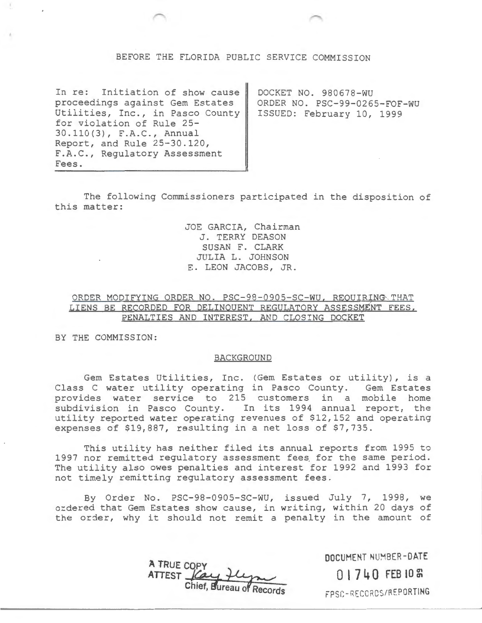### BEFORE THE FLORIDA PUBLIC SERVICE COMMISSION

In re: Initiation of show cause proceedings against Gem Estates Utilities, Inc., in Pasco County for violation of Rule 25- 30.110(3), F.A.C., Annual Report, and Rule 25-30.120, F.A.C., Regulatory Assessment Fees.

DOCKET NO. 980678-WU ORDER NO. PSC-99-0265-FOF-WU ISSUED: February 10, 1999

The following Commissioners participated in the disposition of this matter:

> JOE GARCIA, Chairman J. TERRY DEASON SUSAN F. CLARK JULIA L. JOHNSON E. LEON JACOBS, JR.

## ORDER MODIFYING ORDER NO. PSC-98-0905-SC-WU, REOUIRING THAT LIENS BE RECORDED FOR DELINQUENT REGULATORY ASSESSMENT FEES, PENALTIES AND INTEREST, AND CLOSING DOCKET

BY THE COMMISSION:

#### BACKGROUND

Gem Estates Utilities, Inc. (Gem Estates or utility), is a Class C water utility operating in Pasco County. Gem Estates provides water service to 215 customers in a mobile home subdivision in Pasco County. In its 1994 annual report, the utility reported water operating revenues of \$12,152 and operating expenses of \$19,887, resulting in a net loss of \$7,735.

This utility has neither filed its annual reports from 1995 to 1997 nor remitted regulatory assessment fees for the same period. The utility also owes penalties and interest for 1992 and 1993 for not timely remitting regulatory assessment fees.

By Order No. PSC-98-0905-SC-WU, issued July 7, 1998, we ordered that Gem Estates show cause, in writing, within 20 days of the order, why it should not remit a penalty in the amount of

> **A TRUE COPY**  ATTEST <u>Care H</u>

**DOCUMENT** ~BER **-DATE** 

**0 l 7 4 0 FEB 10** <sup>~</sup>

FP SC-RECCRCS/ AEPORTING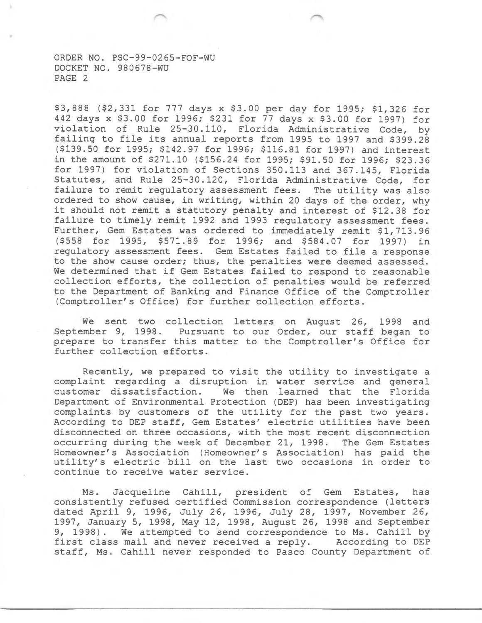ORDER NO. PSC-99-0265-FOF-WU DOCKET NO. 980678-WU PAGE 2

\$3,888 (\$2,331 for 777 days x \$3.00 per day for 1995; \$1,326 for 442 days x \$3.00 for 1996; \$231 for 77 days x \$3.00 for 1997) for violation of Rule 25-30.110, Florida Administrative Code, by failing to file its annual reports from 1995 to 1997 and \$399.28 (\$139.50 for 1995; \$142.97 for 1996; \$116.81 for 1997) and interest in the amount of \$271.10 (\$156.24 for 1995; \$91.50 for 1996; \$23.36 for 1997) for violation of Sections 350.113 and 367.145, Florida Statutes, and Rule 25-30.120, Florida Administrative Code, for failure to remit regulatory assessment fees. The utility was also ordered to show cause, in writing, within 20 days of the order, why it should not remit a statutory penalty and interest of \$12.38 for failure to timely remit 1992 and 1993 regulatory assessment fees. Further, Gem Estates was ordered to immediately remit \$1,713.96 (\$558 for 1995, \$571.89 for 1996; and \$584.07 for 1997) in regulatory assessment fees. Gem Estates failed to file a response to the show cause order; thus, the penalties were deemed assessed. We determined that if Gem Estates failed to respond to reasonable collection efforts, the collection of penalties would be referred to the Department of Banking and Finance Office of the Comptroller (Comptroller's Office) for further collection efforts.

We sent two collection letters on August 26, 1998 and September 9, 1998. Pursuant to our Order, our staff began to prepare to transfer this matter to the Comptroller's Office for further collection efforts.

Recently, we prepared to visit the utility to investigate a complaint regarding a disruption in water service and general customer dissatisfaction. We then learned that the Florida Department of Environmental Protection (DEP) has been investigating complaints by customers of the utility for the past two years. According to DEP staff, Gem Estates' electric utilities have been disconnected on three occasions, with the most recent disconnection occurring during the week of December 21, 1998. The Gem Estates Homeowner's Association (Homeowner's Association) has paid the utility's electric bill on the last two occasions in order to continue to receive water service.

Ms. Jacqueline Cahill, president of Gem Estates, has consistently refused certified Commission correspondence (letters dated April 9, 1996, July 26, 1996, July 28, 1997, November 26, 1997, January 5, 1998, May 12, 1998, August 26, 1998 and September 9, 1998). We attempted to send correspondence to Ms. Cahill by<br>first class mail and never received a reply. According to DEP first class mail and never received a reply. staff, Ms. Cahill never responded to Pasco County Department of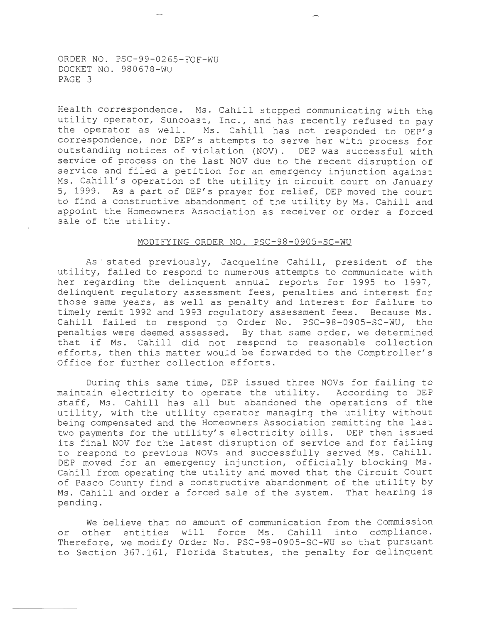ORDER NO. PSC-99-0265-FOF-WU DOCKET NO. 980678-WU PAGE 3

-----------------

Health correspondence. Ms. Cahill stopped communicating with the utility operator, Suncoast, Inc., and has recently refused to pay the operator as well. Ms. Cahill has not responded to DEP's correspondence, nor DEP's attempts to serve her with process for outstanding notices of violation (NOV). DEP was successful with service of process on the last NOV due to the recent disruption of service and filed a petition for an emergency injunction against Ms. Cahill's operation of the utility in circuit court on January 5, 1999. As a part of DEP's prayer for relief, DEP moved the court to find a constructive abandonment of the utility by Ms. Cahill and appoint the Homeowners Association as receiver or order a forced sale of the utility.

#### MODIFYING ORDER NO. PSC-98-0905-SC-WU

As · stated previously, Jacqueline Cahill, president of the utility, failed to respond to numerous attempts to communicate with her regarding the delinquent annual reports for 1995 to 1997, delinquent regulatory assessment fees, penalties and interest for those same years, as well as penalty and interest for failure to timely remit 1992 and 1993 regulatory assessment fees. Because Ms. Cahill failed to respond to Order No. PSC-98-0905-SC-WU, the penalties were deemed assessed. By that same order, we determined that if Ms. Cahill did not respond to reasonable collection efforts, then this matter would be forwarded to the Comptroller's Office for further collection efforts.

During this same time, DEP issued three NOVs for failing to maintain electricity to operate the utility. According to DEP staff, Ms. Cahill has all but abandoned the operations of the utility, with the utility operator managing the utility without being compensated and the Homeowners Association remitting the last two payments for the utility's electricity bills. DEP then issued its final NOV for the latest disruption of service and for failing to respond to previous NOVs and successfully served Ms. Cahill. DEP moved for an emergency injunction, officially blocking Ms. Cahill from operating the utility and moved that the Circuit Court of Pasco County find a constructive abandonment of the utility by Ms. Cahill and order a forced sale of the system. That hearing is pending.

We believe that no amount of communication from the Commission or other entities will force Ms. Cahill into compliance. Therefore, we modify Order No. PSC-98-0905-SC-WU so that pursuant to Section 367.161, Florida Statutes, the penalty for delinquent